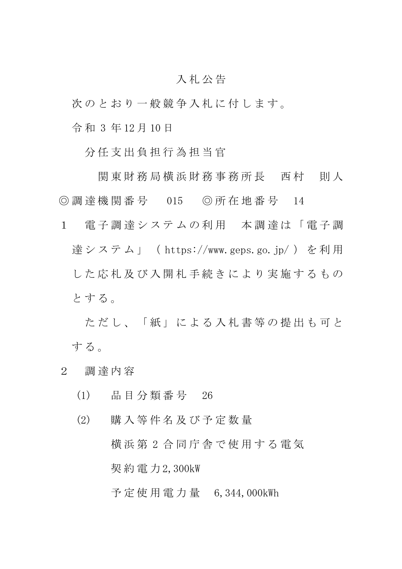## 入 札 公 告

次のとおり一般競争入札に付します。

令 和 3 年 12 月 10 日

分 任 支 出 負 担 行 為 担 当 官

関 東 財 務 局 横 浜 財 務 事 務 所 長 西 村 一 則 人 ◎ 調 達 機 関 番 号 015 ◎ 所 在 地 番 号 14

1 電子調達システムの利用 本調達は「電子調 達システム」 (https://www.geps.go.jp/) を利用 した 応 札 及 び 入 開 札 手 続 き に よ り 実 施 す る も の とする。

ただし、「紙」による入札書等の提出も可と する。

- 2 調 達 内 容
	- (1) 品 目 分 類 番 号 26
	- (2) 購 入 等 件 名 及 び 予 定 数 量 横 浜 第 2 合 同 庁 舎 で 使 用 す る 電 気 契 約 電 力 2,300kW

予 定 使 用 電 力 量 6,344,000kWh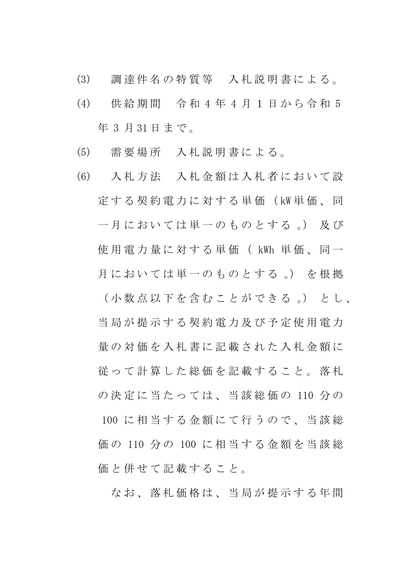- (3) 調 達 件 名 の 特 質 等 入 札 説 明 書 に よ る 。
- (4) 供 給 期 間 令 和 4 年 4 月 1 日 か ら 令 和 5 年 3 月 31 日 ま で 。
- (5) 需 要 場 所 入 札 説 明 書 に よ る 。
- (6) 入 札 方 法 入 札 金 額 は 入 札 者 に お い て 設 定 す る 契 約 電 力 に 対 す る 単 価 ( kW 単 価 、 同 一月においては単一のものとする。) 及び 使 用 電 力 量 に 対 す る 単 価 ( kWh 単 価 、 同 一 月においては単一のものとする。)を根拠 ( 小 数 点 以 下 を 含 む こ と が で き る 。) と し 、 当 局 が 提 示 す る 契 約 電 力 及 び 予 定 使 用 電 力 量の対価を入札書に記載された入札金額に 従 っ て 計 算 し た 総 価 を 記 載 す る こ と 。 落 札 の 決 定 に 当 た っ て は 、 当 該 総 価 の 110 分 の 100 に相当する金額にて行うので、当該総 価 の 110 分 の 100 に 相 当 す る 金 額 を 当 該 総 価と併せて記載すること。

なお、落札価格は、当局が提示する年間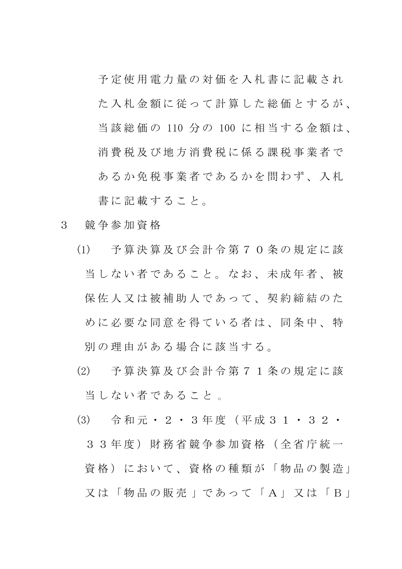予 定 使 用 電 力 量 の 対 価 を 入 札 書 に 記 載 さ れ た入札金額に従って計算した総価とするが、 当 該 総 価 の 110 分 の 100 に 相 当 す る 金 額 は 、 消 費 税 及 び 地 方 消 費 税 に 係 る 課 税 事 業 者 で あるか免税事業者であるかを問わず、入札 書に記載すること。

- 3 競 争 参 加 資 格
	- (1) 予 算 決 算 及 び 会 計 令 第 7 0 条 の 規 定 に 該 当しない者であること。なお、未成年者、被 保佐人又は被補助人であって、契約締結のた めに必要な同意を得ている者は、同条中、特 別 の 理 由 が あ る 場 合 に 該 当 す る 。
	- (2) 予 算 決 算 及 び 会 計 令 第 7 1 条 の 規 定 に 該 当しない者であること。
	- (3) 令 和 元 ・ 2 ・ 3 年 度 ( 平 成 3 1 ・ 3 2 ・ 3 3 年 度 ) 財 務 省 競 争 参 加 資 格 ( 全 省 庁 統 一 資格)において、資格の種類が「物品の製造」 又 は 「 物 品 の 販 売 」 で あ っ て 「 A 」 又 は 「 B 」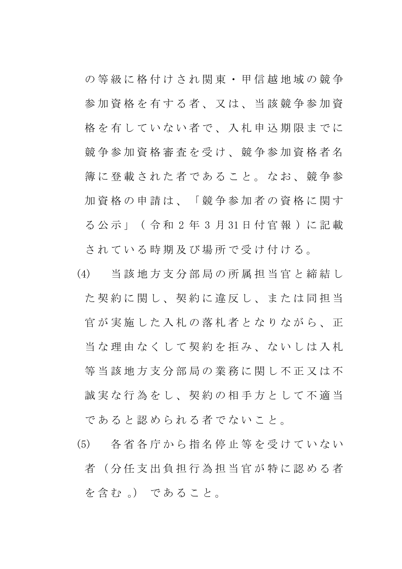の 等 級 に 格 付 け さ れ 関 東 ・ 甲 信 越 地 域 の 競 争 参加資格を有する者、又は、当該競争参加資 格を有していない者で、入札申込期限までに 競 争 参 加 資 格 審 査 を 受 け 、 競 争 参 加 資 格 者 名 簿 に 登 載 さ れ た 者 で あ る こ と 。 な お 、 競 争 参 加資格の申請は、「競争参加者の資格に関す る 公 示 」 ( 令 和 2 年 3 月 31 日 付 官 報 ) に 記 載 さ れ て い る 時 期 及 び 場 所 で 受 け 付 け る 。

- (4) 当 該 地 方 支 分 部 局 の 所 属 担 当 官 と 締 結 し た契約に関し、契約に違反し、または同担当 官が実施した入札の落札者となりながら、正 当な 理 由 なく して 契約 を 拒 み、 ない し は 入 札 等 当 該 地 方 支 分 部 局 の 業 務 に 関 し 不 正 又 は 不 誠実な行為をし、契約の相手方として不適当 であると認められる者でないこと。
- (5) 各 省 各 庁 か ら 指 名 停 止 等 を 受 け て い な い 者(分任支出負担行為担当官が特に認める者 を含む 。) であること。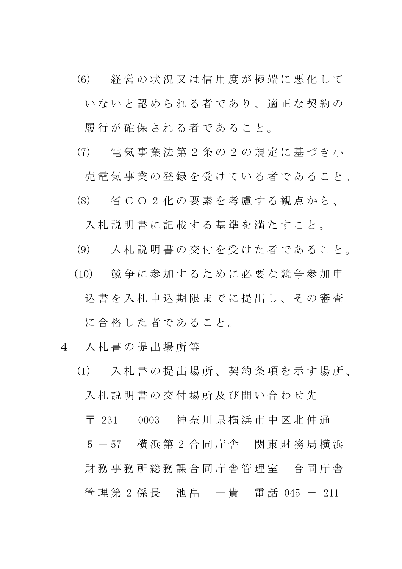- (6) 経 営 の 状 況 又 は 信 用 度 が 極 端 に 悪 化 し て いないと認められる者であり、適正な契約の 履行が確保される者であること。
- (7) 電 気 事 業 法 第 2 条 の 2 の 規 定 に 基 づ き 小

売 電 気 事 業 の 登 録 を 受 け て い る 者 で あ る こ と 。

(8) 省 C O 2 化 の 要 素 を 考 慮 す る 観 点 か ら 、

入札説明書に記載する基準を満たすこと。

- (9) 入 札 説 明 書 の 交 付 を 受 け た 者 で あ る こ と 。
- (10) 競 争 に 参 加 す る た め に 必 要 な 競 争 参 加 申 込書を入札申込期限までに提出し、その審査 に合格した者であること。
- 4 入 札 書 の 提 出 場 所 等
	- (1) 入 札 書 の 提 出 場 所 、 契 約 条 項 を 示 す 場 所 、 入札説明書の交付場所及び問い合わせ先

〒 231 - 0003 神奈川県横浜市中区北仲通

5 - 57 横浜第 2 合同庁舎 関東財務局横浜 財 務 事 務 所 総 務 課 合 同 庁 舎 管 理 室 合 同 庁 舎 管 理 第 2 係 長 池 畠 一 貴 電 話 045 - 211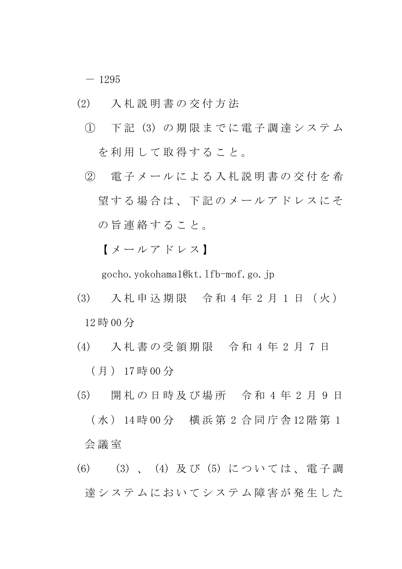$- 1295$ 

- (2) 入 札 説 明 書 の 交 付 方 法
	- ① 下 記 (3) の 期 限 ま で に 電 子 調 達 シ ス テ ム を利用して取得すること。
	- ② 電 子 メ ー ル に よ る 入 札 説 明 書 の 交 付 を 希 望する場合は、下記のメールアドレスにそ の旨 連絡 すること。

【 メ ー ル ア ド レ ス 】

gocho.yokohama1@kt.lfb-mof.go.jp

- (3) 入 札 申 込 期 限 令 和 4 年 2 月 1 日 ( 火 ) 12 時 00 分
- (4) 入 札 書 の 受 領 期 限 令 和 4 年 2 月 7 日 ( 月 ) 17 時 00 分
- (5) 開 札 の 日 時 及 び 場 所 令 和 4 年 2 月 9 日 ( 水 ) 14 時 00 分 横 浜 第 2 合 同 庁 舎 12 階 第 1 会 議 室
- (6) (3) 、 (4) 及 び (5) に つ い て は 、 電 子 調 達システムにおいてシステム障害が発生した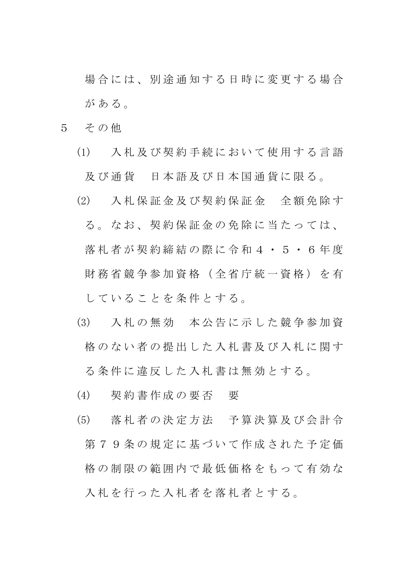場合には、別途通知する日時に変更する場合 が あ る 。

- 5 その他
	- (1) 入 札 及 び 契 約 手 続 に お い て 使 用 す る 言 語 及び通貨 日本語及び日本国通貨に限る。
	- (2) 入 札 保 証 金 及 び 契 約 保 証 金 全 額 免 除 す る 。 な お 、 契 約 保 証 金 の 免 除 に 当 た っ て は 、 落札者が契約締結の際に令和4·5·6年度 財 務 省 競 争 参 加 資 格 ( 全 省 庁 統 一 資 格 ) を 有 し て い る こ と を 条 件 と す る 。
	- (3) 入 札 の 無 効 本 公 告 に 示 し た 競 争 参 加 資 格のない者の提出した入札書及び入札に関す

る 条 件 に 違 反 し た 入 札 書 は 無 効 と す る 。

- (4) 契 約 書 作 成 の 要 否 要
- (5) 落 札 者 の 決 定 方 法 予 算 決 算 及 び 会 計 令 第79条の規定に基づいて作成された予定価 格の制限の範囲内で最低価格をもって有効な 入札を行った入札者を落札者とする。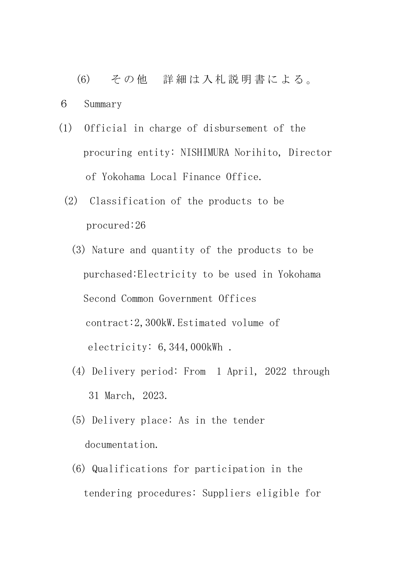(6) そ の 他 詳 細 は 入 札 説 明 書 に よ る 。

6 Summary

- (1) Official in charge of disbursement of the procuring entity: NISHIMURA Norihito, Director of Yokohama Local Finance Office.
	- (2) Classification of the products to be procured:26
		- (3) Nature and quantity of the products to be purchased:Electricity to be used in Yokohama Second Common Government Offices contract:2,300kW.Estimated volume of electricity: 6,344,000kWh .
		- (4) Delivery period: From 1 April, 2022 through 31 March, 2023.
		- (5) Delivery place: As in the tender documentation.
		- (6) Qualifications for participation in the tendering procedures: Suppliers eligible for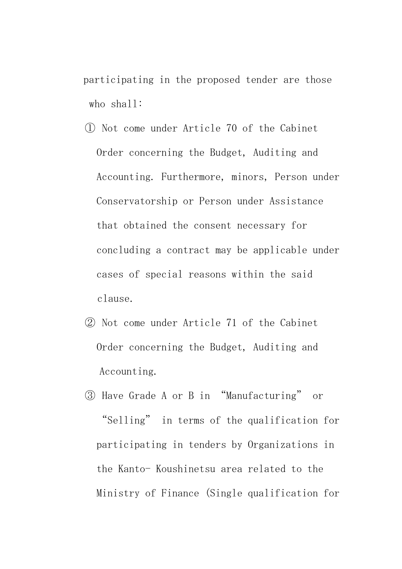participating in the proposed tender are those who shall:

- ① Not come under Article 70 of the Cabinet Order concerning the Budget, Auditing and Accounting. Furthermore, minors, Person under Conservatorship or Person under Assistance that obtained the consent necessary for concluding a contract may be applicable under cases of special reasons within the said clause.
- ② Not come under Article 71 of the Cabinet Order concerning the Budget, Auditing and Accounting.
- ③ Have Grade A or B in "Manufacturing" or "Selling" in terms of the qualification for participating in tenders by Organizations in the Kanto- Koushinetsu area related to the Ministry of Finance (Single qualification for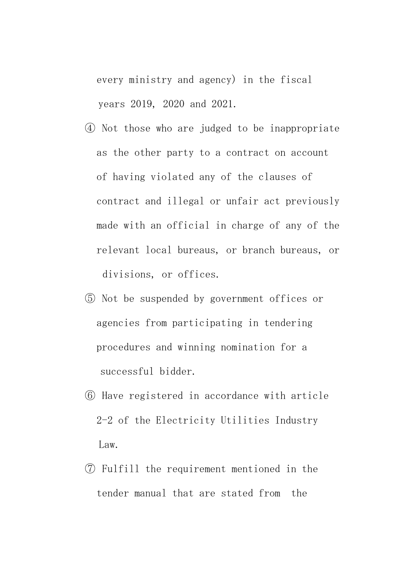every ministry and agency) in the fiscal years 2019, 2020 and 2021.

- ④ Not those who are judged to be inappropriate as the other party to a contract on account of having violated any of the clauses of contract and illegal or unfair act previously made with an official in charge of any of the relevant local bureaus, or branch bureaus, or divisions, or offices.
- ⑤ Not be suspended by government offices or agencies from participating in tendering procedures and winning nomination for a successful bidder.
- ⑥ Have registered in accordance with article 2-2 of the Electricity Utilities Industry Law.
- ⑦ Fulfill the requirement mentioned in the tender manual that are stated from the